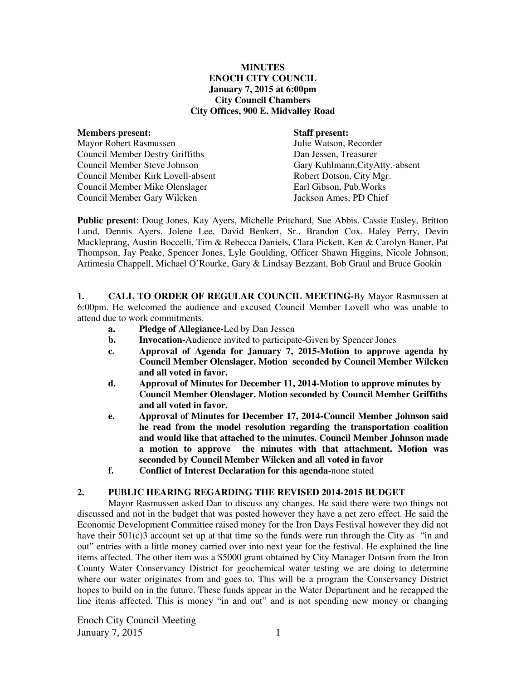#### **MINUTES ENOCH CITY COUNCIL January 7, 2015 at 6:00pm City Council Chambers City Offices, 900 E. Midvalley Road**

| <b>Members present:</b>                | <b>Staff present:</b>            |
|----------------------------------------|----------------------------------|
| <b>Mayor Robert Rasmussen</b>          | Julie Watson, Recorder           |
| <b>Council Member Destry Griffiths</b> | Dan Jessen, Treasurer            |
| Council Member Steve Johnson           | Gary Kuhlmann, City Atty.-absent |
| Council Member Kirk Lovell-absent      | Robert Dotson, City Mgr.         |
| Council Member Mike Olenslager         | Earl Gibson, Pub. Works          |
| Council Member Gary Wilcken            | Jackson Ames, PD Chief           |
|                                        |                                  |

**Public present**: Doug Jones, Kay Ayers, Michelle Pritchard, Sue Abbis, Cassie Easley, Britton Lund, Dennis Ayers, Jolene Lee, David Benkert, Sr., Brandon Cox, Haley Perry, Devin Mackleprang, Austin Boccelli, Tim & Rebecca Daniels, Clara Pickett, Ken & Carolyn Bauer, Pat Thompson, Jay Peake, Spencer Jones, Lyle Goulding, Officer Shawn Higgins, Nicole Johnson, Artimesia Chappell, Michael O'Rourke, Gary & Lindsay Bezzant, Bob Graul and Bruce Gookin

**1. CALL TO ORDER OF REGULAR COUNCIL MEETING-**By Mayor Rasmussen at 6:00pm. He welcomed the audience and excused Council Member Lovell who was unable to attend due to work commitments.

- **a. Pledge of Allegiance-**Led by Dan Jessen
- **b.** Invocation-Audience invited to participate-Given by Spencer Jones
- **c. Approval of Agenda for January 7, 2015-Motion to approve agenda by Council Member Olenslager. Motion seconded by Council Member Wilcken and all voted in favor.**
- **d. Approval of Minutes for December 11, 2014-Motion to approve minutes by Council Member Olenslager. Motion seconded by Council Member Griffiths and all voted in favor.**
- **e. Approval of Minutes for December 17, 2014-Council Member Johnson said he read from the model resolution regarding the transportation coalition and would like that attached to the minutes. Council Member Johnson made a motion to approve the minutes with that attachment. Motion was seconded by Council Member Wilcken and all voted in favor**
- **f. Conflict of Interest Declaration for this agenda-**none stated

#### **2. PUBLIC HEARING REGARDING THE REVISED 2014-2015 BUDGET**

Mayor Rasmussen asked Dan to discuss any changes. He said there were two things not discussed and not in the budget that was posted however they have a net zero effect. He said the Economic Development Committee raised money for the Iron Days Festival however they did not have their  $501(c)3$  account set up at that time so the funds were run through the City as "in and" out" entries with a little money carried over into next year for the festival. He explained the line items affected. The other item was a \$5000 grant obtained by City Manager Dotson from the Iron County Water Conservancy District for geochemical water testing we are doing to determine where our water originates from and goes to. This will be a program the Conservancy District hopes to build on in the future. These funds appear in the Water Department and he recapped the line items affected. This is money "in and out" and is not spending new money or changing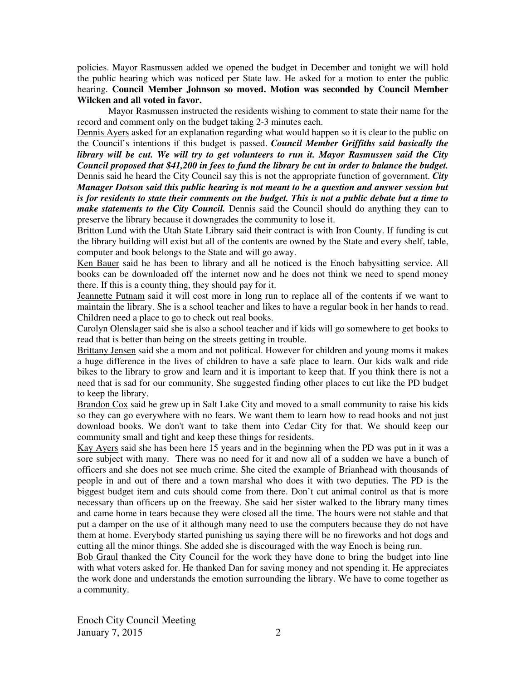policies. Mayor Rasmussen added we opened the budget in December and tonight we will hold the public hearing which was noticed per State law. He asked for a motion to enter the public hearing. **Council Member Johnson so moved. Motion was seconded by Council Member Wilcken and all voted in favor.** 

Mayor Rasmussen instructed the residents wishing to comment to state their name for the record and comment only on the budget taking 2-3 minutes each.

Dennis Ayers asked for an explanation regarding what would happen so it is clear to the public on the Council's intentions if this budget is passed. *Council Member Griffiths said basically the library will be cut. We will try to get volunteers to run it. Mayor Rasmussen said the City Council proposed that \$41,200 in fees to fund the library be cut in order to balance the budget.*  Dennis said he heard the City Council say this is not the appropriate function of government. *City Manager Dotson said this public hearing is not meant to be a question and answer session but is for residents to state their comments on the budget. This is not a public debate but a time to make statements to the City Council.* Dennis said the Council should do anything they can to preserve the library because it downgrades the community to lose it.

Britton Lund with the Utah State Library said their contract is with Iron County. If funding is cut the library building will exist but all of the contents are owned by the State and every shelf, table, computer and book belongs to the State and will go away.

Ken Bauer said he has been to library and all he noticed is the Enoch babysitting service. All books can be downloaded off the internet now and he does not think we need to spend money there. If this is a county thing, they should pay for it.

Jeannette Putnam said it will cost more in long run to replace all of the contents if we want to maintain the library. She is a school teacher and likes to have a regular book in her hands to read. Children need a place to go to check out real books.

Carolyn Olenslager said she is also a school teacher and if kids will go somewhere to get books to read that is better than being on the streets getting in trouble.

Brittany Jensen said she a mom and not political. However for children and young moms it makes a huge difference in the lives of children to have a safe place to learn. Our kids walk and ride bikes to the library to grow and learn and it is important to keep that. If you think there is not a need that is sad for our community. She suggested finding other places to cut like the PD budget to keep the library.

Brandon Cox said he grew up in Salt Lake City and moved to a small community to raise his kids so they can go everywhere with no fears. We want them to learn how to read books and not just download books. We don't want to take them into Cedar City for that. We should keep our community small and tight and keep these things for residents.

Kay Ayers said she has been here 15 years and in the beginning when the PD was put in it was a sore subject with many. There was no need for it and now all of a sudden we have a bunch of officers and she does not see much crime. She cited the example of Brianhead with thousands of people in and out of there and a town marshal who does it with two deputies. The PD is the biggest budget item and cuts should come from there. Don't cut animal control as that is more necessary than officers up on the freeway. She said her sister walked to the library many times and came home in tears because they were closed all the time. The hours were not stable and that put a damper on the use of it although many need to use the computers because they do not have them at home. Everybody started punishing us saying there will be no fireworks and hot dogs and cutting all the minor things. She added she is discouraged with the way Enoch is being run.

Bob Graul thanked the City Council for the work they have done to bring the budget into line with what voters asked for. He thanked Dan for saving money and not spending it. He appreciates the work done and understands the emotion surrounding the library. We have to come together as a community.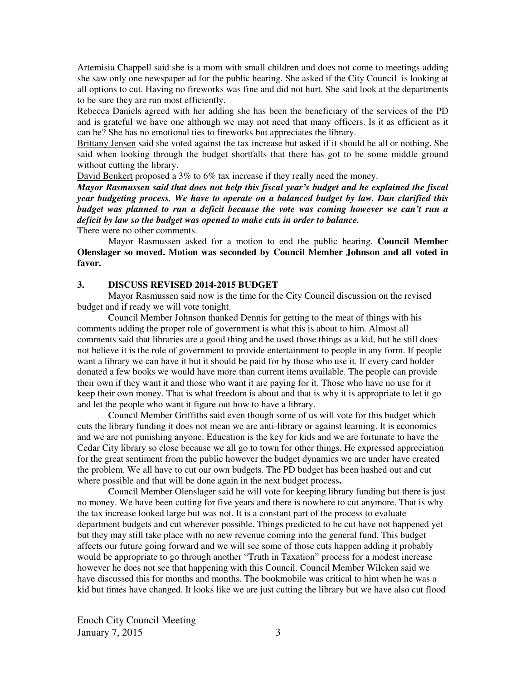Artemisia Chappell said she is a mom with small children and does not come to meetings adding she saw only one newspaper ad for the public hearing. She asked if the City Council is looking at all options to cut. Having no fireworks was fine and did not hurt. She said look at the departments to be sure they are run most efficiently.

Rebecca Daniels agreed with her adding she has been the beneficiary of the services of the PD and is grateful we have one although we may not need that many officers. Is it as efficient as it can be? She has no emotional ties to fireworks but appreciates the library.

Brittany Jensen said she voted against the tax increase but asked if it should be all or nothing. She said when looking through the budget shortfalls that there has got to be some middle ground without cutting the library.

David Benkert proposed a 3% to 6% tax increase if they really need the money.

*Mayor Rasmussen said that does not help this fiscal year's budget and he explained the fiscal year budgeting process. We have to operate on a balanced budget by law. Dan clarified this budget was planned to run a deficit because the vote was coming however we can't run a deficit by law so the budget was opened to make cuts in order to balance.* 

There were no other comments.

Mayor Rasmussen asked for a motion to end the public hearing. **Council Member Olenslager so moved. Motion was seconded by Council Member Johnson and all voted in favor.** 

#### **3. DISCUSS REVISED 2014-2015 BUDGET**

Mayor Rasmussen said now is the time for the City Council discussion on the revised budget and if ready we will vote tonight.

Council Member Johnson thanked Dennis for getting to the meat of things with his comments adding the proper role of government is what this is about to him. Almost all comments said that libraries are a good thing and he used those things as a kid, but he still does not believe it is the role of government to provide entertainment to people in any form. If people want a library we can have it but it should be paid for by those who use it. If every card holder donated a few books we would have more than current items available. The people can provide their own if they want it and those who want it are paying for it. Those who have no use for it keep their own money. That is what freedom is about and that is why it is appropriate to let it go and let the people who want it figure out how to have a library.

Council Member Griffiths said even though some of us will vote for this budget which cuts the library funding it does not mean we are anti-library or against learning. It is economics and we are not punishing anyone. Education is the key for kids and we are fortunate to have the Cedar City library so close because we all go to town for other things. He expressed appreciation for the great sentiment from the public however the budget dynamics we are under have created the problem. We all have to cut our own budgets. The PD budget has been hashed out and cut where possible and that will be done again in the next budget process**.** 

Council Member Olenslager said he will vote for keeping library funding but there is just no money. We have been cutting for five years and there is nowhere to cut anymore. That is why the tax increase looked large but was not. It is a constant part of the process to evaluate department budgets and cut wherever possible. Things predicted to be cut have not happened yet but they may still take place with no new revenue coming into the general fund. This budget affects our future going forward and we will see some of those cuts happen adding it probably would be appropriate to go through another "Truth in Taxation" process for a modest increase however he does not see that happening with this Council. Council Member Wilcken said we have discussed this for months and months. The bookmobile was critical to him when he was a kid but times have changed. It looks like we are just cutting the library but we have also cut flood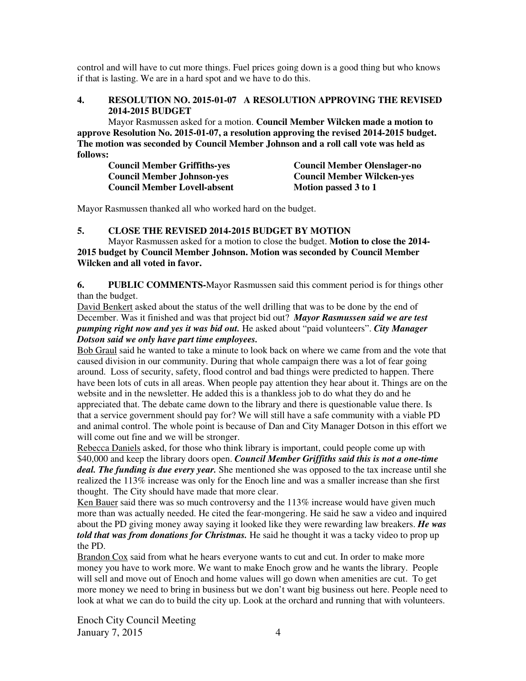control and will have to cut more things. Fuel prices going down is a good thing but who knows if that is lasting. We are in a hard spot and we have to do this.

# **4. RESOLUTION NO. 2015-01-07 A RESOLUTION APPROVING THE REVISED 2014-2015 BUDGET**

Mayor Rasmussen asked for a motion. **Council Member Wilcken made a motion to approve Resolution No. 2015-01-07, a resolution approving the revised 2014-2015 budget. The motion was seconded by Council Member Johnson and a roll call vote was held as follows:** 

| <b>Council Member Griffiths-yes</b> | <b>Council Member Olenslager-no</b> |
|-------------------------------------|-------------------------------------|
| <b>Council Member Johnson-yes</b>   | <b>Council Member Wilcken-yes</b>   |
| <b>Council Member Lovell-absent</b> | Motion passed 3 to 1                |

Mayor Rasmussen thanked all who worked hard on the budget.

# **5. CLOSE THE REVISED 2014-2015 BUDGET BY MOTION**

Mayor Rasmussen asked for a motion to close the budget. **Motion to close the 2014- 2015 budget by Council Member Johnson. Motion was seconded by Council Member Wilcken and all voted in favor.** 

**6. PUBLIC COMMENTS-**Mayor Rasmussen said this comment period is for things other than the budget.

David Benkert asked about the status of the well drilling that was to be done by the end of December. Was it finished and was that project bid out?*Mayor Rasmussen said we are test pumping right now and yes it was bid out.* He asked about "paid volunteers". *City Manager Dotson said we only have part time employees.*

Bob Graul said he wanted to take a minute to look back on where we came from and the vote that caused division in our community. During that whole campaign there was a lot of fear going around. Loss of security, safety, flood control and bad things were predicted to happen. There have been lots of cuts in all areas. When people pay attention they hear about it. Things are on the website and in the newsletter. He added this is a thankless job to do what they do and he appreciated that. The debate came down to the library and there is questionable value there. Is that a service government should pay for? We will still have a safe community with a viable PD and animal control. The whole point is because of Dan and City Manager Dotson in this effort we will come out fine and we will be stronger.

Rebecca Daniels asked, for those who think library is important, could people come up with \$40,000 and keep the library doors open. *Council Member Griffiths said this is not a one-time deal. The funding is due every year.* She mentioned she was opposed to the tax increase until she realized the 113% increase was only for the Enoch line and was a smaller increase than she first thought. The City should have made that more clear.

Ken Bauer said there was so much controversy and the  $113\%$  increase would have given much more than was actually needed. He cited the fear-mongering. He said he saw a video and inquired about the PD giving money away saying it looked like they were rewarding law breakers. *He was*  told that was from donations for Christmas. He said he thought it was a tacky video to prop up the PD.

Brandon Cox said from what he hears everyone wants to cut and cut. In order to make more money you have to work more. We want to make Enoch grow and he wants the library. People will sell and move out of Enoch and home values will go down when amenities are cut. To get more money we need to bring in business but we don't want big business out here. People need to look at what we can do to build the city up. Look at the orchard and running that with volunteers.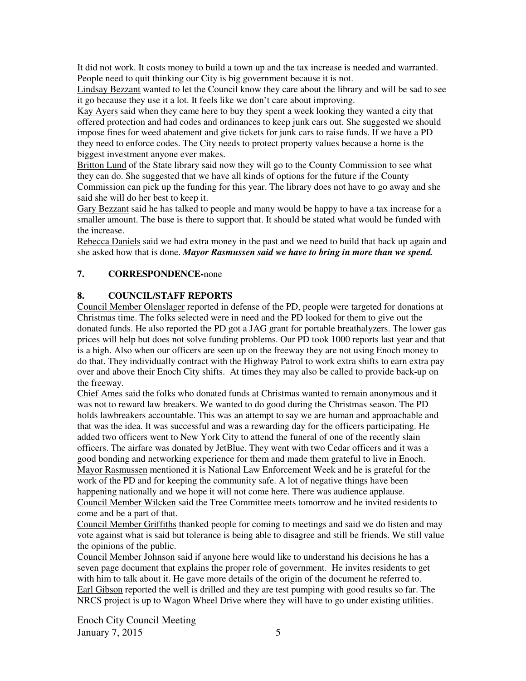It did not work. It costs money to build a town up and the tax increase is needed and warranted. People need to quit thinking our City is big government because it is not.

Lindsay Bezzant wanted to let the Council know they care about the library and will be sad to see it go because they use it a lot. It feels like we don't care about improving.

Kay Ayers said when they came here to buy they spent a week looking they wanted a city that offered protection and had codes and ordinances to keep junk cars out. She suggested we should impose fines for weed abatement and give tickets for junk cars to raise funds. If we have a PD they need to enforce codes. The City needs to protect property values because a home is the biggest investment anyone ever makes.

Britton Lund of the State library said now they will go to the County Commission to see what they can do. She suggested that we have all kinds of options for the future if the County Commission can pick up the funding for this year. The library does not have to go away and she said she will do her best to keep it.

Gary Bezzant said he has talked to people and many would be happy to have a tax increase for a smaller amount. The base is there to support that. It should be stated what would be funded with the increase.

Rebecca Daniels said we had extra money in the past and we need to build that back up again and she asked how that is done. *Mayor Rasmussen said we have to bring in more than we spend.* 

# **7. CORRESPONDENCE-**none

### **8. COUNCIL/STAFF REPORTS**

Council Member Olenslager reported in defense of the PD, people were targeted for donations at Christmas time. The folks selected were in need and the PD looked for them to give out the donated funds. He also reported the PD got a JAG grant for portable breathalyzers. The lower gas prices will help but does not solve funding problems. Our PD took 1000 reports last year and that is a high. Also when our officers are seen up on the freeway they are not using Enoch money to do that. They individually contract with the Highway Patrol to work extra shifts to earn extra pay over and above their Enoch City shifts. At times they may also be called to provide back-up on the freeway.

Chief Ames said the folks who donated funds at Christmas wanted to remain anonymous and it was not to reward law breakers. We wanted to do good during the Christmas season. The PD holds lawbreakers accountable. This was an attempt to say we are human and approachable and that was the idea. It was successful and was a rewarding day for the officers participating. He added two officers went to New York City to attend the funeral of one of the recently slain officers. The airfare was donated by JetBlue. They went with two Cedar officers and it was a good bonding and networking experience for them and made them grateful to live in Enoch. Mayor Rasmussen mentioned it is National Law Enforcement Week and he is grateful for the work of the PD and for keeping the community safe. A lot of negative things have been happening nationally and we hope it will not come here. There was audience applause. Council Member Wilcken said the Tree Committee meets tomorrow and he invited residents to come and be a part of that.

Council Member Griffiths thanked people for coming to meetings and said we do listen and may vote against what is said but tolerance is being able to disagree and still be friends. We still value the opinions of the public.

Council Member Johnson said if anyone here would like to understand his decisions he has a seven page document that explains the proper role of government. He invites residents to get with him to talk about it. He gave more details of the origin of the document he referred to. Earl Gibson reported the well is drilled and they are test pumping with good results so far. The NRCS project is up to Wagon Wheel Drive where they will have to go under existing utilities.